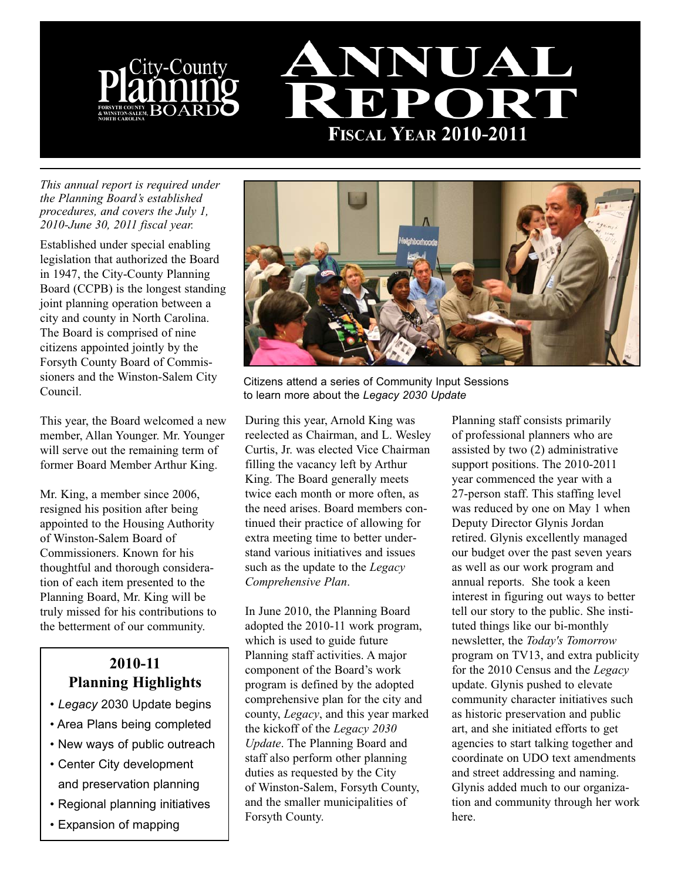



*This annual report is required under the Planning Board's established procedures, and covers the July 1, 2010-June 30, 2011 fiscal year.* 

Established under special enabling legislation that authorized the Board in 1947, the City-County Planning Board (CCPB) is the longest standing joint planning operation between a city and county in North Carolina. The Board is comprised of nine citizens appointed jointly by the Forsyth County Board of Commissioners and the Winston-Salem City Council.

This year, the Board welcomed a new member, Allan Younger. Mr. Younger will serve out the remaining term of former Board Member Arthur King.

Mr. King, a member since 2006, resigned his position after being appointed to the Housing Authority of Winston-Salem Board of Commissioners. Known for his thoughtful and thorough consideration of each item presented to the Planning Board, Mr. King will be truly missed for his contributions to the betterment of our community.

# **2010-11 Planning Highlights**

- *Legacy* 2030 Update begins
- Area Plans being completed
- New ways of public outreach
- Center City development and preservation planning
- Regional planning initiatives
- Expansion of mapping



Citizens attend a series of Community Input Sessions to learn more about the *Legacy 2030 Update*

During this year, Arnold King was reelected as Chairman, and L. Wesley Curtis, Jr. was elected Vice Chairman filling the vacancy left by Arthur King. The Board generally meets twice each month or more often, as the need arises. Board members continued their practice of allowing for extra meeting time to better understand various initiatives and issues such as the update to the *Legacy Comprehensive Plan*.

In June 2010, the Planning Board adopted the 2010-11 work program, which is used to guide future Planning staff activities. A major component of the Board's work program is defined by the adopted comprehensive plan for the city and county, *Legacy*, and this year marked the kickoff of the *Legacy 2030 Update*. The Planning Board and staff also perform other planning duties as requested by the City of Winston-Salem, Forsyth County, and the smaller municipalities of Forsyth County.

Planning staff consists primarily of professional planners who are assisted by two (2) administrative support positions. The 2010-2011 year commenced the year with a 27-person staff. This staffing level was reduced by one on May 1 when Deputy Director Glynis Jordan retired. Glynis excellently managed our budget over the past seven years as well as our work program and annual reports. She took a keen interest in figuring out ways to better tell our story to the public. She instituted things like our bi-monthly newsletter, the *Today's Tomorrow* program on TV13, and extra publicity for the 2010 Census and the *Legacy* update. Glynis pushed to elevate community character initiatives such as historic preservation and public art, and she initiated efforts to get agencies to start talking together and coordinate on UDO text amendments and street addressing and naming. Glynis added much to our organization and community through her work here.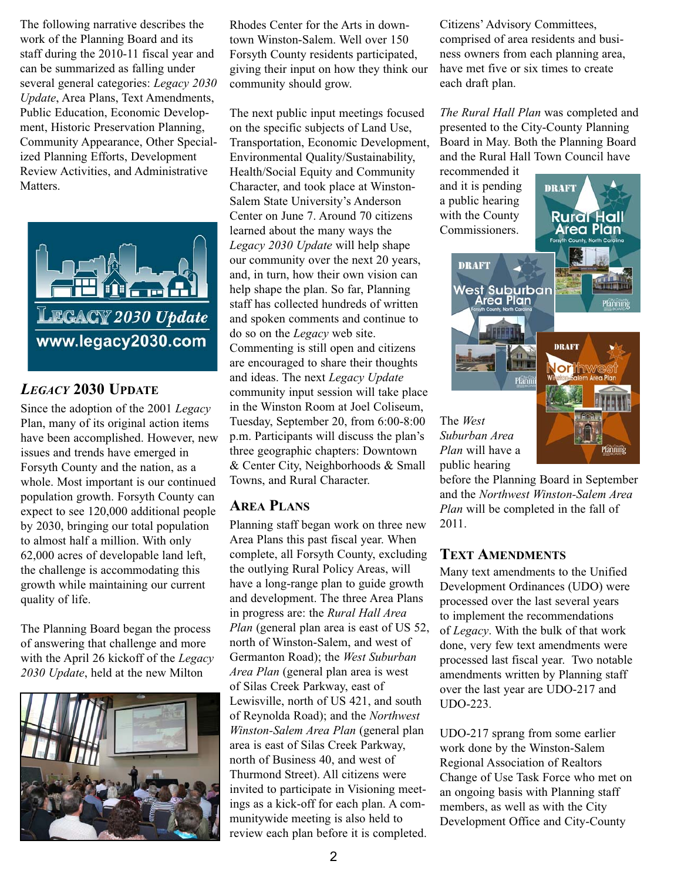The following narrative describes the work of the Planning Board and its staff during the 2010-11 fiscal year and can be summarized as falling under several general categories: *Legacy 2030 Update*, Area Plans, Text Amendments, Public Education, Economic Development, Historic Preservation Planning, Community Appearance, Other Specialized Planning Efforts, Development Review Activities, and Administrative Matters.



## *LEGACY* **2030 UPDATE**

Since the adoption of the 2001 *Legacy* Plan, many of its original action items have been accomplished. However, new issues and trends have emerged in Forsyth County and the nation, as a whole. Most important is our continued population growth. Forsyth County can expect to see 120,000 additional people by 2030, bringing our total population to almost half a million. With only 62,000 acres of developable land left, the challenge is accommodating this growth while maintaining our current quality of life.

The Planning Board began the process of answering that challenge and more with the April 26 kickoff of the *Legacy 2030 Update*, held at the new Milton



Rhodes Center for the Arts in downtown Winston-Salem. Well over 150 Forsyth County residents participated, giving their input on how they think our community should grow.

The next public input meetings focused on the specific subjects of Land Use, Transportation, Economic Development, Environmental Quality/Sustainability, Health/Social Equity and Community Character, and took place at Winston-Salem State University's Anderson Center on June 7. Around 70 citizens learned about the many ways the *Legacy 2030 Update* will help shape our community over the next 20 years, and, in turn, how their own vision can help shape the plan. So far, Planning staff has collected hundreds of written and spoken comments and continue to do so on the *Legacy* web site. Commenting is still open and citizens are encouraged to share their thoughts and ideas. The next *Legacy Update* community input session will take place in the Winston Room at Joel Coliseum, Tuesday, September 20, from 6:00-8:00 p.m. Participants will discuss the plan's three geographic chapters: Downtown & Center City, Neighborhoods & Small Towns, and Rural Character.

#### **AREA PLANS**

Planning staff began work on three new Area Plans this past fiscal year. When complete, all Forsyth County, excluding the outlying Rural Policy Areas, will have a long-range plan to guide growth and development. The three Area Plans in progress are: the *Rural Hall Area Plan* (general plan area is east of US 52, north of Winston-Salem, and west of Germanton Road); the *West Suburban Area Plan* (general plan area is west of Silas Creek Parkway, east of Lewisville, north of US 421, and south of Reynolda Road); and the *Northwest Winston-Salem Area Plan* (general plan area is east of Silas Creek Parkway, north of Business 40, and west of Thurmond Street). All citizens were invited to participate in Visioning meetings as a kick-off for each plan. A communitywide meeting is also held to review each plan before it is completed.

Citizens' Advisory Committees, comprised of area residents and business owners from each planning area, have met five or six times to create each draft plan.

*The Rural Hall Plan* was completed and presented to the City-County Planning Board in May. Both the Planning Board and the Rural Hall Town Council have

recommended it and it is pending a public hearing with the County Commissioners.



The *West Suburban Area Plan* will have a public hearing

before the Planning Board in September and the *Northwest Winston-Salem Area Plan* will be completed in the fall of 2011.

lanning

#### **TEXT AMENDMENTS**

Many text amendments to the Unified Development Ordinances (UDO) were processed over the last several years to implement the recommendations of *Legacy*. With the bulk of that work done, very few text amendments were processed last fiscal year. Two notable amendments written by Planning staff over the last year are UDO-217 and UDO-223.

UDO-217 sprang from some earlier work done by the Winston-Salem Regional Association of Realtors Change of Use Task Force who met on an ongoing basis with Planning staff members, as well as with the City Development Office and City-County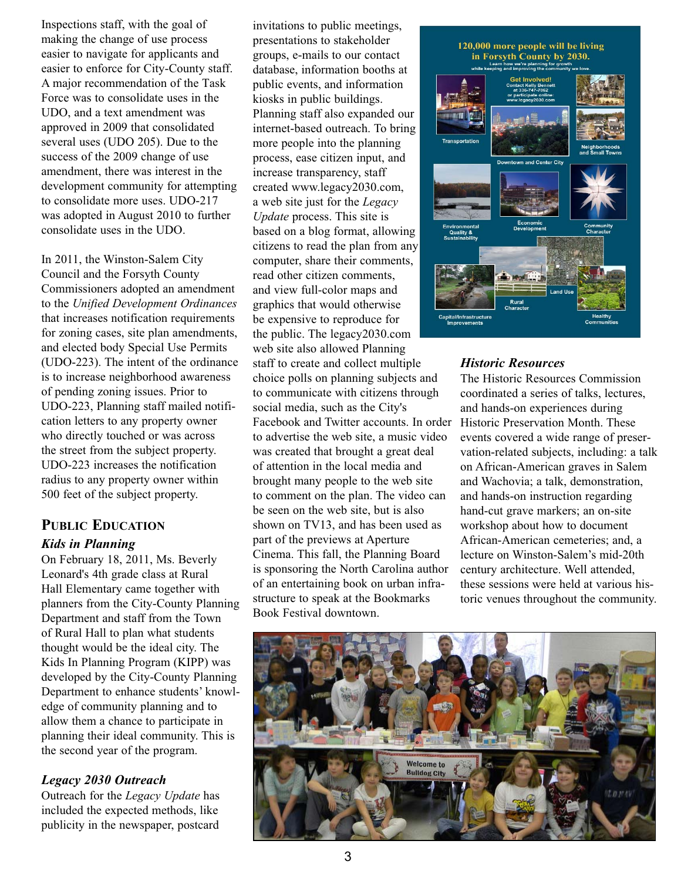Inspections staff, with the goal of making the change of use process easier to navigate for applicants and easier to enforce for City-County staff. A major recommendation of the Task Force was to consolidate uses in the UDO, and a text amendment was approved in 2009 that consolidated several uses (UDO 205). Due to the success of the 2009 change of use amendment, there was interest in the development community for attempting to consolidate more uses. UDO-217 was adopted in August 2010 to further consolidate uses in the UDO.

In 2011, the Winston-Salem City Council and the Forsyth County Commissioners adopted an amendment to the *Unified Development Ordinances* that increases notification requirements for zoning cases, site plan amendments, and elected body Special Use Permits (UDO-223). The intent of the ordinance is to increase neighborhood awareness of pending zoning issues. Prior to UDO-223, Planning staff mailed notification letters to any property owner who directly touched or was across the street from the subject property. UDO-223 increases the notification radius to any property owner within 500 feet of the subject property.

# **PUBLIC EDUCATION** *Kids in Planning*

On February 18, 2011, Ms. Beverly Leonard's 4th grade class at Rural Hall Elementary came together with planners from the City-County Planning Department and staff from the Town of Rural Hall to plan what students thought would be the ideal city. The Kids In Planning Program (KIPP) was developed by the City-County Planning Department to enhance students' knowledge of community planning and to allow them a chance to participate in planning their ideal community. This is the second year of the program.

### *Legacy 2030 Outreach*

Outreach for the *Legacy Update* has included the expected methods, like publicity in the newspaper, postcard invitations to public meetings, presentations to stakeholder groups, e-mails to our contact database, information booths at public events, and information kiosks in public buildings. Planning staff also expanded our internet-based outreach. To bring more people into the planning process, ease citizen input, and increase transparency, staff created www.legacy2030.com, a web site just for the *Legacy Update* process. This site is based on a blog format, allowing citizens to read the plan from any computer, share their comments, read other citizen comments, and view full-color maps and graphics that would otherwise be expensive to reproduce for the public. The legacy2030.com web site also allowed Planning staff to create and collect multiple choice polls on planning subjects and to communicate with citizens through social media, such as the City's Facebook and Twitter accounts. In order to advertise the web site, a music video was created that brought a great deal of attention in the local media and brought many people to the web site to comment on the plan. The video can be seen on the web site, but is also shown on TV13, and has been used as part of the previews at Aperture Cinema. This fall, the Planning Board is sponsoring the North Carolina author of an entertaining book on urban infrastructure to speak at the Bookmarks Book Festival downtown.



### *Historic Resources*

The Historic Resources Commission coordinated a series of talks, lectures, and hands-on experiences during Historic Preservation Month. These events covered a wide range of preservation-related subjects, including: a talk on African-American graves in Salem and Wachovia; a talk, demonstration, and hands-on instruction regarding hand-cut grave markers; an on-site workshop about how to document African-American cemeteries; and, a lecture on Winston-Salem's mid-20th century architecture. Well attended, these sessions were held at various historic venues throughout the community.

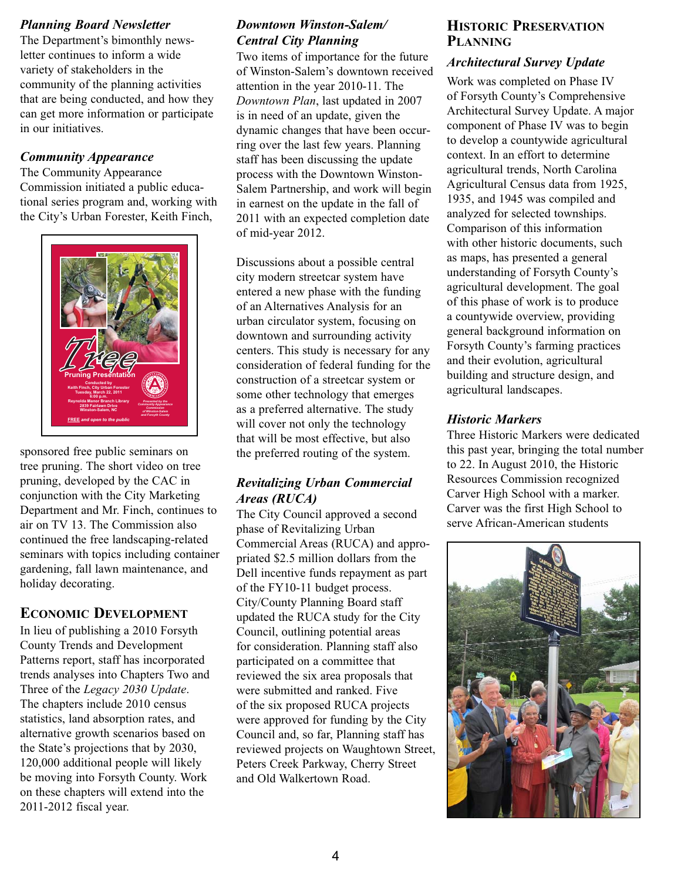#### *Planning Board Newsletter*

The Department's bimonthly newsletter continues to inform a wide variety of stakeholders in the community of the planning activities that are being conducted, and how they can get more information or participate in our initiatives.

#### *Community Appearance*

The Community Appearance Commission initiated a public educational series program and, working with the City's Urban Forester, Keith Finch,



sponsored free public seminars on tree pruning. The short video on tree pruning, developed by the CAC in conjunction with the City Marketing Department and Mr. Finch, continues to air on TV 13. The Commission also continued the free landscaping-related seminars with topics including container gardening, fall lawn maintenance, and holiday decorating.

#### **ECONOMIC DEVELOPMENT**

In lieu of publishing a 2010 Forsyth County Trends and Development Patterns report, staff has incorporated trends analyses into Chapters Two and Three of the *Legacy 2030 Update*. The chapters include 2010 census statistics, land absorption rates, and alternative growth scenarios based on the State's projections that by 2030, 120,000 additional people will likely be moving into Forsyth County. Work on these chapters will extend into the 2011-2012 fiscal year.

## *Downtown Winston-Salem/ Central City Planning*

Two items of importance for the future of Winston-Salem's downtown received attention in the year 2010-11. The *Downtown Plan*, last updated in 2007 is in need of an update, given the dynamic changes that have been occurring over the last few years. Planning staff has been discussing the update process with the Downtown Winston-Salem Partnership, and work will begin in earnest on the update in the fall of 2011 with an expected completion date of mid-year 2012.

Discussions about a possible central city modern streetcar system have entered a new phase with the funding of an Alternatives Analysis for an urban circulator system, focusing on downtown and surrounding activity centers. This study is necessary for any consideration of federal funding for the construction of a streetcar system or some other technology that emerges as a preferred alternative. The study will cover not only the technology that will be most effective, but also the preferred routing of the system.

#### *Revitalizing Urban Commercial Areas (RUCA)*

The City Council approved a second phase of Revitalizing Urban Commercial Areas (RUCA) and appropriated \$2.5 million dollars from the Dell incentive funds repayment as part of the FY10-11 budget process. City/County Planning Board staff updated the RUCA study for the City Council, outlining potential areas for consideration. Planning staff also participated on a committee that reviewed the six area proposals that were submitted and ranked. Five of the six proposed RUCA projects were approved for funding by the City Council and, so far, Planning staff has reviewed projects on Waughtown Street, Peters Creek Parkway, Cherry Street and Old Walkertown Road.

#### **HISTORIC PRESERVATION PLANNING**

#### *Architectural Survey Update*

Work was completed on Phase IV of Forsyth County's Comprehensive Architectural Survey Update. A major component of Phase IV was to begin to develop a countywide agricultural context. In an effort to determine agricultural trends, North Carolina Agricultural Census data from 1925, 1935, and 1945 was compiled and analyzed for selected townships. Comparison of this information with other historic documents, such as maps, has presented a general understanding of Forsyth County's agricultural development. The goal of this phase of work is to produce a countywide overview, providing general background information on Forsyth County's farming practices and their evolution, agricultural building and structure design, and agricultural landscapes.

#### *Historic Markers*

Three Historic Markers were dedicated this past year, bringing the total number to 22. In August 2010, the Historic Resources Commission recognized Carver High School with a marker. Carver was the first High School to serve African-American students

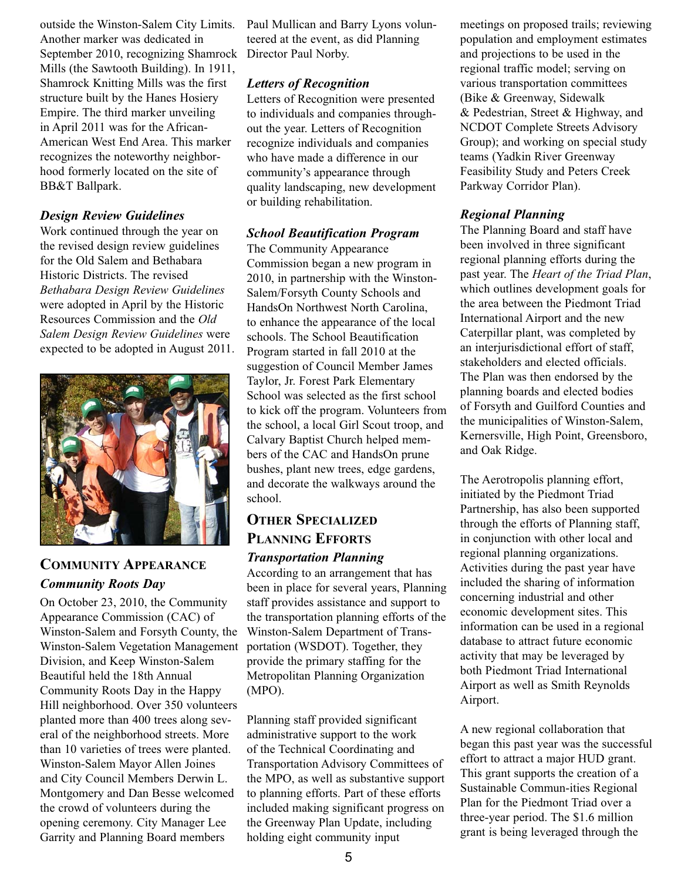outside the Winston-Salem City Limits. Another marker was dedicated in September 2010, recognizing Shamrock Mills (the Sawtooth Building). In 1911, Shamrock Knitting Mills was the first structure built by the Hanes Hosiery Empire. The third marker unveiling in April 2011 was for the African-American West End Area. This marker recognizes the noteworthy neighborhood formerly located on the site of BB&T Ballpark.

#### *Design Review Guidelines*

Work continued through the year on the revised design review guidelines for the Old Salem and Bethabara Historic Districts. The revised *Bethabara Design Review Guidelines* were adopted in April by the Historic Resources Commission and the *Old Salem Design Review Guidelines* were expected to be adopted in August 2011.



# **COMMUNITY APPEARANCE** *Community Roots Day*

On October 23, 2010, the Community Appearance Commission (CAC) of Winston-Salem and Forsyth County, the Winston-Salem Vegetation Management Division, and Keep Winston-Salem Beautiful held the 18th Annual Community Roots Day in the Happy Hill neighborhood. Over 350 volunteers planted more than 400 trees along several of the neighborhood streets. More than 10 varieties of trees were planted. Winston-Salem Mayor Allen Joines and City Council Members Derwin L. Montgomery and Dan Besse welcomed the crowd of volunteers during the opening ceremony. City Manager Lee Garrity and Planning Board members

Paul Mullican and Barry Lyons volunteered at the event, as did Planning Director Paul Norby.

#### *Letters of Recognition*

Letters of Recognition were presented to individuals and companies throughout the year. Letters of Recognition recognize individuals and companies who have made a difference in our community's appearance through quality landscaping, new development or building rehabilitation.

#### *School Beautification Program*

The Community Appearance Commission began a new program in 2010, in partnership with the Winston-Salem/Forsyth County Schools and HandsOn Northwest North Carolina, to enhance the appearance of the local schools. The School Beautification Program started in fall 2010 at the suggestion of Council Member James Taylor, Jr. Forest Park Elementary School was selected as the first school to kick off the program. Volunteers from the school, a local Girl Scout troop, and Calvary Baptist Church helped members of the CAC and HandsOn prune bushes, plant new trees, edge gardens, and decorate the walkways around the school.

## **OTHER SPECIALIZED PLANNING EFFORTS** *Transportation Planning*

According to an arrangement that has been in place for several years, Planning staff provides assistance and support to the transportation planning efforts of the Winston-Salem Department of Transportation (WSDOT). Together, they provide the primary staffing for the Metropolitan Planning Organization (MPO).

Planning staff provided significant administrative support to the work of the Technical Coordinating and Transportation Advisory Committees of the MPO, as well as substantive support to planning efforts. Part of these efforts included making significant progress on the Greenway Plan Update, including holding eight community input

meetings on proposed trails; reviewing population and employment estimates and projections to be used in the regional traffic model; serving on various transportation committees (Bike & Greenway, Sidewalk & Pedestrian, Street & Highway, and NCDOT Complete Streets Advisory Group); and working on special study teams (Yadkin River Greenway Feasibility Study and Peters Creek Parkway Corridor Plan).

### *Regional Planning*

The Planning Board and staff have been involved in three significant regional planning efforts during the past year. The *Heart of the Triad Plan*, which outlines development goals for the area between the Piedmont Triad International Airport and the new Caterpillar plant, was completed by an interjurisdictional effort of staff, stakeholders and elected officials. The Plan was then endorsed by the planning boards and elected bodies of Forsyth and Guilford Counties and the municipalities of Winston-Salem, Kernersville, High Point, Greensboro, and Oak Ridge.

The Aerotropolis planning effort, initiated by the Piedmont Triad Partnership, has also been supported through the efforts of Planning staff, in conjunction with other local and regional planning organizations. Activities during the past year have included the sharing of information concerning industrial and other economic development sites. This information can be used in a regional database to attract future economic activity that may be leveraged by both Piedmont Triad International Airport as well as Smith Reynolds Airport.

A new regional collaboration that began this past year was the successful effort to attract a major HUD grant. This grant supports the creation of a Sustainable Commun-ities Regional Plan for the Piedmont Triad over a three-year period. The \$1.6 million grant is being leveraged through the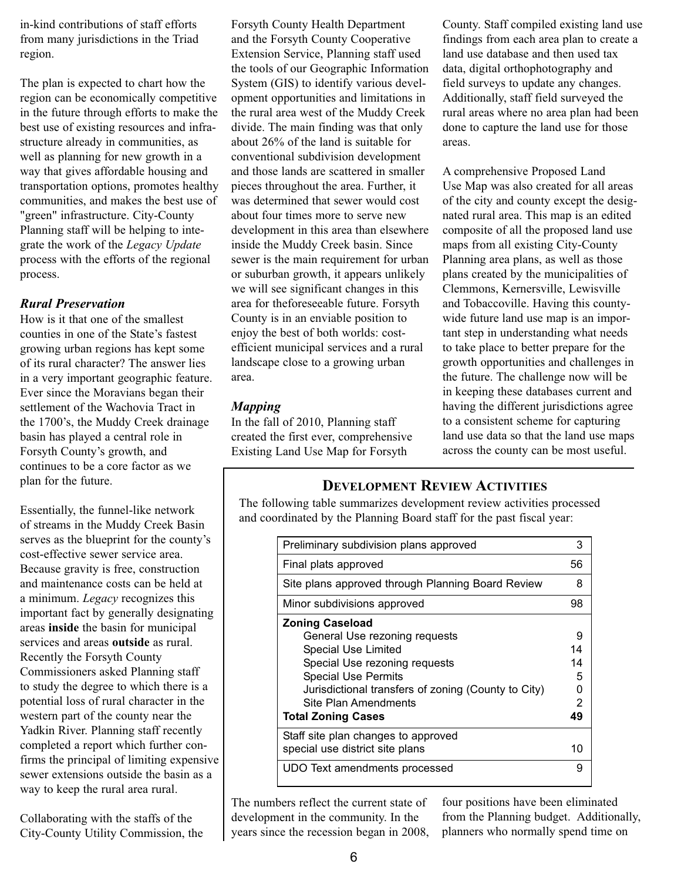in-kind contributions of staff efforts from many jurisdictions in the Triad region.

The plan is expected to chart how the region can be economically competitive in the future through efforts to make the best use of existing resources and infrastructure already in communities, as well as planning for new growth in a way that gives affordable housing and transportation options, promotes healthy communities, and makes the best use of "green" infrastructure. City-County Planning staff will be helping to integrate the work of the *Legacy Update* process with the efforts of the regional process.

#### *Rural Preservation*

How is it that one of the smallest counties in one of the State's fastest growing urban regions has kept some of its rural character? The answer lies in a very important geographic feature. Ever since the Moravians began their settlement of the Wachovia Tract in the 1700's, the Muddy Creek drainage basin has played a central role in Forsyth County's growth, and continues to be a core factor as we plan for the future.

Essentially, the funnel-like network of streams in the Muddy Creek Basin serves as the blueprint for the county's cost-effective sewer service area. Because gravity is free, construction and maintenance costs can be held at a minimum. *Legacy* recognizes this important fact by generally designating areas **inside** the basin for municipal services and areas **outside** as rural. Recently the Forsyth County Commissioners asked Planning staff to study the degree to which there is a potential loss of rural character in the western part of the county near the Yadkin River. Planning staff recently completed a report which further confirms the principal of limiting expensive sewer extensions outside the basin as a way to keep the rural area rural.

Collaborating with the staffs of the City-County Utility Commission, the Forsyth County Health Department and the Forsyth County Cooperative Extension Service, Planning staff used the tools of our Geographic Information System (GIS) to identify various development opportunities and limitations in the rural area west of the Muddy Creek divide. The main finding was that only about 26% of the land is suitable for conventional subdivision development and those lands are scattered in smaller pieces throughout the area. Further, it was determined that sewer would cost about four times more to serve new development in this area than elsewhere inside the Muddy Creek basin. Since sewer is the main requirement for urban or suburban growth, it appears unlikely we will see significant changes in this area for theforeseeable future. Forsyth County is in an enviable position to enjoy the best of both worlds: costefficient municipal services and a rural landscape close to a growing urban area.

#### *Mapping*

In the fall of 2010, Planning staff created the first ever, comprehensive Existing Land Use Map for Forsyth

County. Staff compiled existing land use findings from each area plan to create a land use database and then used tax data, digital orthophotography and field surveys to update any changes. Additionally, staff field surveyed the rural areas where no area plan had been done to capture the land use for those areas.

A comprehensive Proposed Land Use Map was also created for all areas of the city and county except the designated rural area. This map is an edited composite of all the proposed land use maps from all existing City-County Planning area plans, as well as those plans created by the municipalities of Clemmons, Kernersville, Lewisville and Tobaccoville. Having this countywide future land use map is an important step in understanding what needs to take place to better prepare for the growth opportunities and challenges in the future. The challenge now will be in keeping these databases current and having the different jurisdictions agree to a consistent scheme for capturing land use data so that the land use maps across the county can be most useful.

#### **DEVELOPMENT REVIEW ACTIVITIES**

The following table summarizes development review activities processed and coordinated by the Planning Board staff for the past fiscal year:

| Preliminary subdivision plans approved              | 3  |
|-----------------------------------------------------|----|
| Final plats approved                                | 56 |
| Site plans approved through Planning Board Review   | 8  |
| Minor subdivisions approved                         | 98 |
| <b>Zoning Caseload</b>                              |    |
| General Use rezoning requests                       | 9  |
| <b>Special Use Limited</b>                          | 14 |
| Special Use rezoning requests                       | 14 |
| <b>Special Use Permits</b>                          | 5  |
| Jurisdictional transfers of zoning (County to City) | n  |
| Site Plan Amendments                                | 2  |
| Total Zoning Cases                                  | 49 |
| Staff site plan changes to approved                 |    |
| special use district site plans                     | 10 |
| UDO Text amendments processed                       | 9  |

The numbers reflect the current state of development in the community. In the years since the recession began in 2008,

four positions have been eliminated from the Planning budget. Additionally, planners who normally spend time on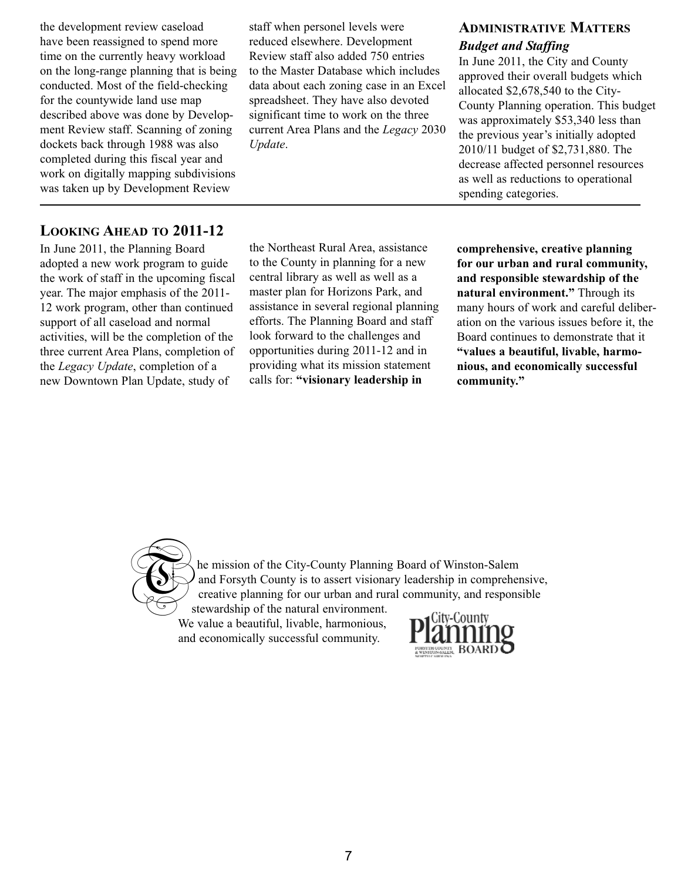the development review caseload have been reassigned to spend more time on the currently heavy workload on the long-range planning that is being conducted. Most of the field-checking for the countywide land use map described above was done by Development Review staff. Scanning of zoning dockets back through 1988 was also completed during this fiscal year and work on digitally mapping subdivisions was taken up by Development Review

staff when personel levels were reduced elsewhere. Development Review staff also added 750 entries to the Master Database which includes data about each zoning case in an Excel spreadsheet. They have also devoted significant time to work on the three current Area Plans and the *Legacy* 2030 *Update*.

# **ADMINISTRATIVE MATTERS** *Budget and Staffing*

In June 2011, the City and County approved their overall budgets which allocated \$2,678,540 to the City-County Planning operation. This budget was approximately \$53,340 less than the previous year's initially adopted 2010/11 budget of \$2,731,880. The decrease affected personnel resources as well as reductions to operational spending categories.

## **LOOKING AHEAD TO 2011-12**

In June 2011, the Planning Board adopted a new work program to guide the work of staff in the upcoming fiscal year. The major emphasis of the 2011- 12 work program, other than continued support of all caseload and normal activities, will be the completion of the three current Area Plans, completion of the *Legacy Update*, completion of a new Downtown Plan Update, study of

the Northeast Rural Area, assistance to the County in planning for a new central library as well as well as a master plan for Horizons Park, and assistance in several regional planning efforts. The Planning Board and staff look forward to the challenges and opportunities during 2011-12 and in providing what its mission statement calls for: **"visionary leadership in**

**comprehensive, creative planning for our urban and rural community, and responsible stewardship of the natural environment."** Through its many hours of work and careful deliberation on the various issues before it, the Board continues to demonstrate that it **"values a beautiful, livable, harmonious, and economically successful community."**



he mission of the City-County Planning Board of Winston-Salem and Forsyth County is to assert visionary leadership in comprehensive, creative planning for our urban and rural community, and responsible

stewardship of the natural environment. We value a beautiful, livable, harmonious, and economically successful community.